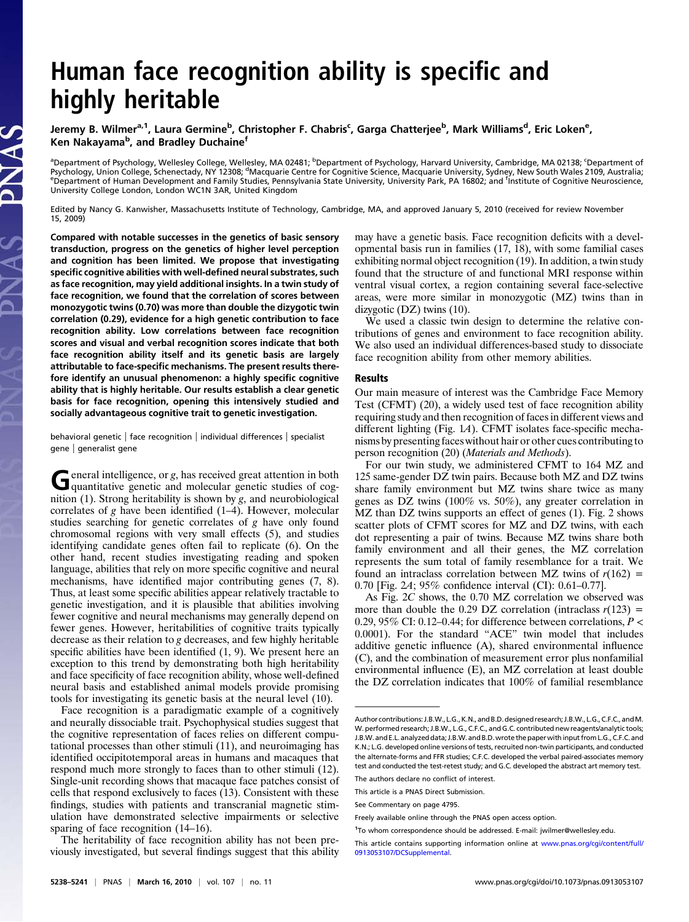# Human face recognition ability is specific and highly heritable

Jeremy B. Wilmer<sup>a,1</sup>, Laura Germine<sup>b</sup>, Christopher F. Chabris<sup>c</sup>, Garga Chatterjee<sup>b</sup>, Mark Williams<sup>d</sup>, Eric Loken<sup>e</sup>, Ken Nakayama<sup>b</sup>, and Bradley Duchaine<sup>f</sup>

<sup>a</sup>Department of Psychology, Wellesley College, Wellesley, MA 02481; <sup>b</sup>Department of Psychology, Harvard University, Cambridge, MA 02138; <sup>c</sup>Department of Psychology, Union College, Schenectady, NY 12308; <sup>d</sup>Macquarie Centre for Cognitive Science, Macquarie University, Sydney, New South Wales 2109, Australia;<br>EDepartment of Human Development and Family Studies, Pennsylvania Department of Human Development and Family Studies, Pennsylvania State University, University Park, PA 16802; and <sup>f</sup> Institute of Cognitive Neuroscience, University College London, London WC1N 3AR, United Kingdom

Edited by Nancy G. Kanwisher, Massachusetts Institute of Technology, Cambridge, MA, and approved January 5, 2010 (received for review November 15, 2009)

Compared with notable successes in the genetics of basic sensory transduction, progress on the genetics of higher level perception and cognition has been limited. We propose that investigating specific cognitive abilities with well-defined neural substrates, such as face recognition, may yield additional insights. In a twin study of face recognition, we found that the correlation of scores between monozygotic twins (0.70) was more than double the dizygotic twin correlation (0.29), evidence for a high genetic contribution to face recognition ability. Low correlations between face recognition scores and visual and verbal recognition scores indicate that both face recognition ability itself and its genetic basis are largely attributable to face-specific mechanisms. The present results therefore identify an unusual phenomenon: a highly specific cognitive ability that is highly heritable. Our results establish a clear genetic basis for face recognition, opening this intensively studied and socially advantageous cognitive trait to genetic investigation.

behavioral genetic | face recognition | individual differences | specialist gene | generalist gene

General intelligence, or g, has received great attention in both quantitative genetic and molecular genetic studies of cognition (1). Strong heritability is shown by  $g$ , and neurobiological correlates of g have been identified (1–4). However, molecular studies searching for genetic correlates of g have only found chromosomal regions with very small effects (5), and studies identifying candidate genes often fail to replicate (6). On the other hand, recent studies investigating reading and spoken language, abilities that rely on more specific cognitive and neural mechanisms, have identified major contributing genes (7, 8). Thus, at least some specific abilities appear relatively tractable to genetic investigation, and it is plausible that abilities involving fewer cognitive and neural mechanisms may generally depend on fewer genes. However, heritabilities of cognitive traits typically decrease as their relation to g decreases, and few highly heritable specific abilities have been identified (1, 9). We present here an exception to this trend by demonstrating both high heritability and face specificity of face recognition ability, whose well-defined neural basis and established animal models provide promising tools for investigating its genetic basis at the neural level (10).

Face recognition is a paradigmatic example of a cognitively and neurally dissociable trait. Psychophysical studies suggest that the cognitive representation of faces relies on different computational processes than other stimuli (11), and neuroimaging has identified occipitotemporal areas in humans and macaques that respond much more strongly to faces than to other stimuli (12). Single-unit recording shows that macaque face patches consist of cells that respond exclusively to faces (13). Consistent with these findings, studies with patients and transcranial magnetic stimulation have demonstrated selective impairments or selective sparing of face recognition  $(14–16)$ .

The heritability of face recognition ability has not been previously investigated, but several findings suggest that this ability may have a genetic basis. Face recognition deficits with a developmental basis run in families (17, 18), with some familial cases exhibiting normal object recognition (19). In addition, a twin study found that the structure of and functional MRI response within ventral visual cortex, a region containing several face-selective areas, were more similar in monozygotic (MZ) twins than in dizygotic (DZ) twins (10).

We used a classic twin design to determine the relative contributions of genes and environment to face recognition ability. We also used an individual differences-based study to dissociate face recognition ability from other memory abilities.

## Results

Our main measure of interest was the Cambridge Face Memory Test (CFMT) (20), a widely used test of face recognition ability requiring study and then recognition of faces in different views and different lighting (Fig. 1A). CFMT isolates face-specific mechanisms by presenting faces without hair or other cues contributing to person recognition (20) (Materials and Methods).

For our twin study, we administered CFMT to 164 MZ and 125 same-gender DZ twin pairs. Because both MZ and DZ twins share family environment but MZ twins share twice as many genes as DZ twins (100% vs. 50%), any greater correlation in MZ than DZ twins supports an effect of genes (1). Fig. 2 shows scatter plots of CFMT scores for MZ and DZ twins, with each dot representing a pair of twins. Because MZ twins share both family environment and all their genes, the MZ correlation represents the sum total of family resemblance for a trait. We found an intraclass correlation between MZ twins of  $r(162)$  = 0.70 [Fig. 2A; 95% confidence interval (CI): 0.61–0.77].

As Fig. 2C shows, the 0.70 MZ correlation we observed was more than double the 0.29 DZ correlation (intraclass  $r(123)$  = 0.29, 95% CI: 0.12–0.44; for difference between correlations,  $P \leq$ 0.0001). For the standard "ACE" twin model that includes additive genetic influence (A), shared environmental influence (C), and the combination of measurement error plus nonfamilial environmental influence (E), an MZ correlation at least double the DZ correlation indicates that 100% of familial resemblance

Author contributions: J.B.W., L.G.,K.N., and B.D. designed research; J.B.W., L.G., C.F.C., andM. W. performed research; J.B.W., L.G., C.F.C., and G.C. contributed new reagents/analytic tools; J.B.W. and E.L. analyzed data; J.B.W. and B.D. wrote the paperwith input from L.G., C.F.C. and K.N.; L.G. developed online versions of tests, recruited non-twin participants, and conducted the alternate-forms and FFR studies; C.F.C. developed the verbal paired-associates memory test and conducted the test-retest study; and G.C. developed the abstract art memory test.

The authors declare no conflict of interest.

This article is a PNAS Direct Submission.

See Commentary on page 4795.

Freely available online through the PNAS open access option.

<sup>&</sup>lt;sup>1</sup>To whom correspondence should be addressed. E-mail: [jwilmer@wellesley.edu](mailto:jwilmer@wellesley.edu).

This article contains supporting information online at [www.pnas.org/cgi/content/full/](http://www.pnas.org/cgi/content/full/0913053107/DCSupplemental) [0913053107/DCSupplemental.](http://www.pnas.org/cgi/content/full/0913053107/DCSupplemental)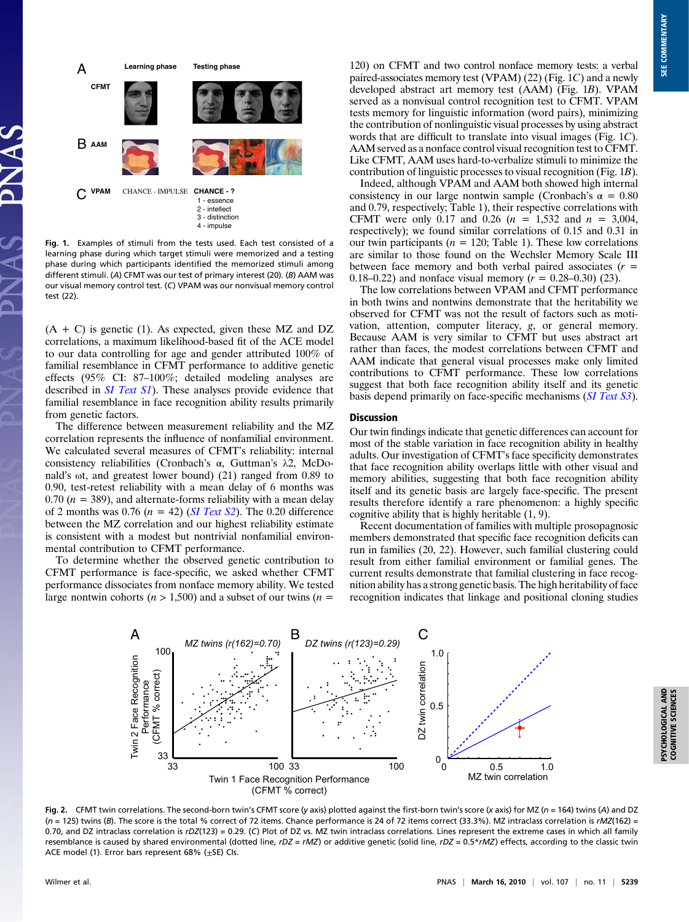

Fig. 1. Examples of stimuli from the tests used. Each test consisted of a learning phase during which target stimuli were memorized and a testing phase during which participants identified the memorized stimuli among different stimuli. (A) CFMT was our test of primary interest (20). (B) AAM was our visual memory control test. (C) VPAM was our nonvisual memory control test (22).

 $(A + C)$  is genetic (1). As expected, given these MZ and DZ correlations, a maximum likelihood-based fit of the ACE model to our data controlling for age and gender attributed 100% of familial resemblance in CFMT performance to additive genetic effects (95% CI: 87–100%; detailed modeling analyses are described in **SI** Text S1). These analyses provide evidence that familial resemblance in face recognition ability results primarily from genetic factors.

The difference between measurement reliability and the MZ correlation represents the influence of nonfamilial environment. We calculated several measures of CFMT's reliability: internal consistency reliabilities (Cronbach's α, Guttman's λ2, McDonald's ωt, and greatest lower bound) (21) ranged from 0.89 to 0.90, test-retest reliability with a mean delay of 6 months was 0.70 ( $n = 389$ ), and alternate-forms reliability with a mean delay of 2 months was 0.76 ( $n = 42$ ) (*[SI Text S2](http://www.pnas.org/cgi/data/0913053107/DCSupplemental/Supplemental_PDF#nameddest=STXT)*). The 0.20 difference between the MZ correlation and our highest reliability estimate is consistent with a modest but nontrivial nonfamilial environmental contribution to CFMT performance.

To determine whether the observed genetic contribution to CFMT performance is face-specific, we asked whether CFMT performance dissociates from nonface memory ability. We tested large nontwin cohorts ( $n > 1,500$ ) and a subset of our twins ( $n =$ 

120) on CFMT and two control nonface memory tests: a verbal paired-associates memory test (VPAM) (22) (Fig. 1C) and a newly developed abstract art memory test (AAM) (Fig. 1B). VPAM served as a nonvisual control recognition test to CFMT. VPAM tests memory for linguistic information (word pairs), minimizing the contribution of nonlinguistic visual processes by using abstract words that are difficult to translate into visual images (Fig. 1C). AAM served as a nonface control visual recognition test to CFMT. Like CFMT, AAM uses hard-to-verbalize stimuli to minimize the contribution of linguistic processes to visual recognition (Fig. 1B).

Indeed, although VPAM and AAM both showed high internal consistency in our large nontwin sample (Cronbach's  $\alpha = 0.80$ and 0.79, respectively; Table 1), their respective correlations with CFMT were only 0.17 and 0.26  $(n = 1,532)$  and  $n = 3,004$ , respectively); we found similar correlations of 0.15 and 0.31 in our twin participants ( $n = 120$ ; Table 1). These low correlations are similar to those found on the Wechsler Memory Scale III between face memory and both verbal paired associates  $(r =$ 0.18–0.22) and nonface visual memory  $(r = 0.28$ –0.30) (23).

The low correlations between VPAM and CFMT performance in both twins and nontwins demonstrate that the heritability we observed for CFMT was not the result of factors such as motivation, attention, computer literacy, g, or general memory. Because AAM is very similar to CFMT but uses abstract art rather than faces, the modest correlations between CFMT and AAM indicate that general visual processes make only limited contributions to CFMT performance. These low correlations suggest that both face recognition ability itself and its genetic basis depend primarily on face-specific mechanisms ([SI Text S3](http://www.pnas.org/cgi/data/0913053107/DCSupplemental/Supplemental_PDF#nameddest=STXT)).

#### **Discussion**

Our twin findings indicate that genetic differences can account for most of the stable variation in face recognition ability in healthy adults. Our investigation of CFMT's face specificity demonstrates that face recognition ability overlaps little with other visual and memory abilities, suggesting that both face recognition ability itself and its genetic basis are largely face-specific. The present results therefore identify a rare phenomenon: a highly specific cognitive ability that is highly heritable (1, 9).

Recent documentation of families with multiple prosopagnosic members demonstrated that specific face recognition deficits can run in families (20, 22). However, such familial clustering could result from either familial environment or familial genes. The current results demonstrate that familial clustering in face recognition ability has a strong genetic basis. The high heritability of face recognition indicates that linkage and positional cloning studies



Fig. 2. CFMT twin correlations. The second-born twin's CFMT score (y axis) plotted against the first-born twin's score (x axis) for MZ (n = 164) twins (A) and DZ  $(n = 125)$  twins (B). The score is the total % correct of 72 items. Chance performance is 24 of 72 items correct (33.3%). MZ intraclass correlation is rMZ(162) = 0.70, and DZ intraclass correlation is rDZ(123) = 0.29. (C) Plot of DZ vs. MZ twin intraclass correlations. Lines represent the extreme cases in which all family resemblance is caused by shared environmental (dotted line,  $rDZ = rMZ$ ) or additive genetic (solid line,  $rDZ = 0.5 \star rMZ$ ) effects, according to the classic twin ACE model (1). Error bars represent  $68\%$  ( $\pm$ SE) Cls.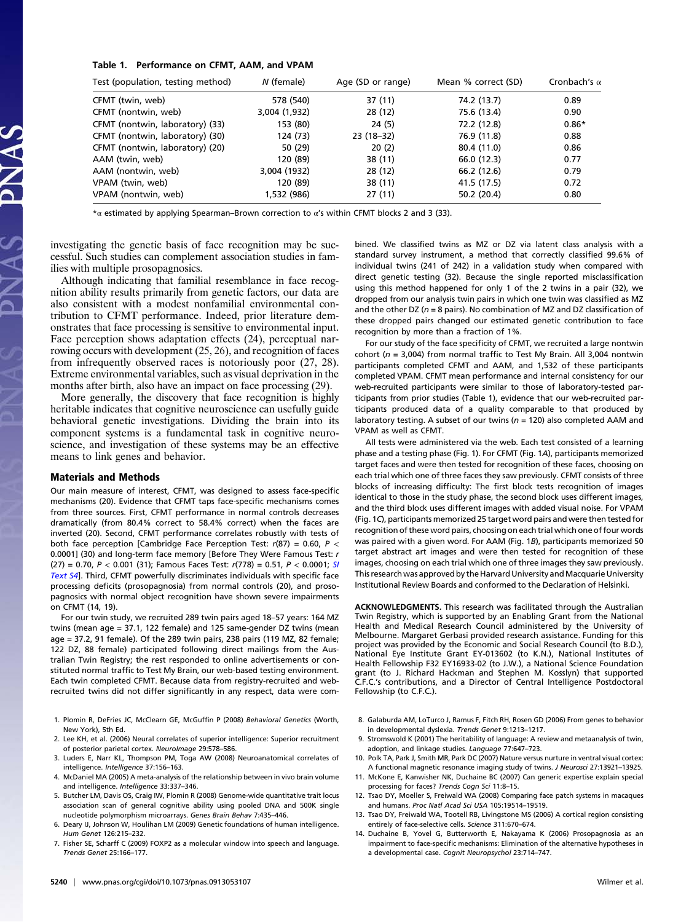### Table 1. Performance on CFMT, AAM, and VPAM

| Test (population, testing method) | N (female)    | Age (SD or range) | Mean % correct (SD) | Cronbach's $\alpha$ |
|-----------------------------------|---------------|-------------------|---------------------|---------------------|
| CFMT (twin, web)                  | 578 (540)     | 37 (11)           | 74.2 (13.7)         | 0.89                |
| CFMT (nontwin, web)               | 3,004 (1,932) | 28 (12)           | 75.6 (13.4)         | 0.90                |
| CFMT (nontwin, laboratory) (33)   | 153 (80)      | 24(5)             | 72.2 (12.8)         | $0.86*$             |
| CFMT (nontwin, laboratory) (30)   | 124 (73)      | 23 (18-32)        | 76.9 (11.8)         | 0.88                |
| CFMT (nontwin, laboratory) (20)   | 50 (29)       | 20(2)             | 80.4 (11.0)         | 0.86                |
| AAM (twin, web)                   | 120 (89)      | 38 (11)           | 66.0 (12.3)         | 0.77                |
| AAM (nontwin, web)                | 3,004 (1932)  | 28 (12)           | 66.2 (12.6)         | 0.79                |
| VPAM (twin, web)                  | 120 (89)      | 38 (11)           | 41.5 (17.5)         | 0.72                |
| VPAM (nontwin, web)               | 1,532 (986)   | 27(11)            | 50.2 (20.4)         | 0.80                |

\*α estimated by applying Spearman–Brown correction to α's within CFMT blocks 2 and 3 (33).

investigating the genetic basis of face recognition may be successful. Such studies can complement association studies in families with multiple prosopagnosics.

Although indicating that familial resemblance in face recognition ability results primarily from genetic factors, our data are also consistent with a modest nonfamilial environmental contribution to CFMT performance. Indeed, prior literature demonstrates that face processing is sensitive to environmental input. Face perception shows adaptation effects (24), perceptual narrowing occurs with development (25, 26), and recognition of faces from infrequently observed races is notoriously poor (27, 28). Extreme environmental variables, such as visual deprivation in the months after birth, also have an impact on face processing (29).

More generally, the discovery that face recognition is highly heritable indicates that cognitive neuroscience can usefully guide behavioral genetic investigations. Dividing the brain into its component systems is a fundamental task in cognitive neuroscience, and investigation of these systems may be an effective means to link genes and behavior.

# Materials and Methods

Our main measure of interest, CFMT, was designed to assess face-specific mechanisms (20). Evidence that CFMT taps face-specific mechanisms comes from three sources. First, CFMT performance in normal controls decreases dramatically (from 80.4% correct to 58.4% correct) when the faces are inverted (20). Second, CFMT performance correlates robustly with tests of both face perception [Cambridge Face Perception Test:  $r(87) = 0.60$ ,  $P <$ 0.0001] (30) and long-term face memory [Before They Were Famous Test: r (27) = 0.70,  $P < 0.001$  (31); Famous Faces Test:  $r(778) = 0.51$ ,  $P < 0.0001$ ; [SI](http://www.pnas.org/cgi/data/0913053107/DCSupplemental/Supplemental_PDF#nameddest=STXT) [Text S4](http://www.pnas.org/cgi/data/0913053107/DCSupplemental/Supplemental_PDF#nameddest=STXT)]. Third, CFMT powerfully discriminates individuals with specific face processing deficits (prosopagnosia) from normal controls (20), and prosopagnosics with normal object recognition have shown severe impairments on CFMT (14, 19).

For our twin study, we recruited 289 twin pairs aged 18–57 years: 164 MZ twins (mean age = 37.1, 122 female) and 125 same-gender DZ twins (mean age = 37.2, 91 female). Of the 289 twin pairs, 238 pairs (119 MZ, 82 female; 122 DZ, 88 female) participated following direct mailings from the Australian Twin Registry; the rest responded to online advertisements or constituted normal traffic to Test My Brain, our web-based testing environment. Each twin completed CFMT. Because data from registry-recruited and webrecruited twins did not differ significantly in any respect, data were com-

- 1. Plomin R, DeFries JC, McClearn GE, McGuffin P (2008) Behavioral Genetics (Worth, New York), 5th Ed.
- 2. Lee KH, et al. (2006) Neural correlates of superior intelligence: Superior recruitment of posterior parietal cortex. NeuroImage 29:578–586.
- 3. Luders E, Narr KL, Thompson PM, Toga AW (2008) Neuroanatomical correlates of intelligence. Intelligence 37:156–163.
- 4. McDaniel MA (2005) A meta-analysis of the relationship between in vivo brain volume and intelligence. Intelligence 33:337-346
- 5. Butcher LM, Davis OS, Craig IW, Plomin R (2008) Genome-wide quantitative trait locus association scan of general cognitive ability using pooled DNA and 500K single nucleotide polymorphism microarrays. Genes Brain Behav 7:435–446.
- 6. Deary IJ, Johnson W, Houlihan LM (2009) Genetic foundations of human intelligence. Hum Genet 126:215–232.
- 7. Fisher SE, Scharff C (2009) FOXP2 as a molecular window into speech and language. Trends Genet 25:166–177.

bined. We classified twins as MZ or DZ via latent class analysis with a standard survey instrument, a method that correctly classified 99.6% of individual twins (241 of 242) in a validation study when compared with direct genetic testing (32). Because the single reported misclassification using this method happened for only 1 of the 2 twins in a pair (32), we dropped from our analysis twin pairs in which one twin was classified as MZ and the other DZ ( $n = 8$  pairs). No combination of MZ and DZ classification of these dropped pairs changed our estimated genetic contribution to face recognition by more than a fraction of 1%.

For our study of the face specificity of CFMT, we recruited a large nontwin cohort ( $n = 3,004$ ) from normal traffic to Test My Brain. All 3,004 nontwin participants completed CFMT and AAM, and 1,532 of these participants completed VPAM. CFMT mean performance and internal consistency for our web-recruited participants were similar to those of laboratory-tested participants from prior studies (Table 1), evidence that our web-recruited participants produced data of a quality comparable to that produced by laboratory testing. A subset of our twins ( $n = 120$ ) also completed AAM and VPAM as well as CFMT.

All tests were administered via the web. Each test consisted of a learning phase and a testing phase (Fig. 1). For CFMT (Fig. 1A), participants memorized target faces and were then tested for recognition of these faces, choosing on each trial which one of three faces they saw previously. CFMT consists of three blocks of increasing difficulty: The first block tests recognition of images identical to those in the study phase, the second block uses different images, and the third block uses different images with added visual noise. For VPAM (Fig. 1C), participants memorized 25 target word pairs and were then tested for recognition of these word pairs, choosing on each trial which one of four words was paired with a given word. For AAM (Fig. 1B), participants memorized 50 target abstract art images and were then tested for recognition of these images, choosing on each trial which one of three images they saw previously. This research was approved by the Harvard University and Macquarie University Institutional Review Boards and conformed to the Declaration of Helsinki.

ACKNOWLEDGMENTS. This research was facilitated through the Australian Twin Registry, which is supported by an Enabling Grant from the National Health and Medical Research Council administered by the University of Melbourne. Margaret Gerbasi provided research assistance. Funding for this project was provided by the Economic and Social Research Council (to B.D.), National Eye Institute Grant EY-013602 (to K.N.), National Institutes of Health Fellowship F32 EY16933-02 (to J.W.), a National Science Foundation grant (to J. Richard Hackman and Stephen M. Kosslyn) that supported C.F.C.'s contributions, and a Director of Central Intelligence Postdoctoral Fellowship (to C.F.C.).

- 8. Galaburda AM, LoTurco J, Ramus F, Fitch RH, Rosen GD (2006) From genes to behavior in developmental dyslexia. Trends Genet 9:1213–1217.
- 9. Stromswold K (2001) The heritability of language: A review and metaanalysis of twin, adoption, and linkage studies. Language 77:647–723.
- 10. Polk TA, Park J, Smith MR, Park DC (2007) Nature versus nurture in ventral visual cortex: A functional magnetic resonance imaging study of twins. J Neurosci 27:13921–13925.
- 11. McKone E, Kanwisher NK, Duchaine BC (2007) Can generic expertise explain special processing for faces? Trends Cogn Sci 11:8–15.
- 12. Tsao DY, Moeller S, Freiwald WA (2008) Comparing face patch systems in macaques and humans. Proc Natl Acad Sci USA 105:19514–19519.
- 13. Tsao DY, Freiwald WA, Tootell RB, Livingstone MS (2006) A cortical region consisting entirely of face-selective cells. Science 311:670–674.
- 14. Duchaine B, Yovel G, Butterworth E, Nakayama K (2006) Prosopagnosia as an impairment to face-specific mechanisms: Elimination of the alternative hypotheses in a developmental case. Cognit Neuropsychol 23:714–747.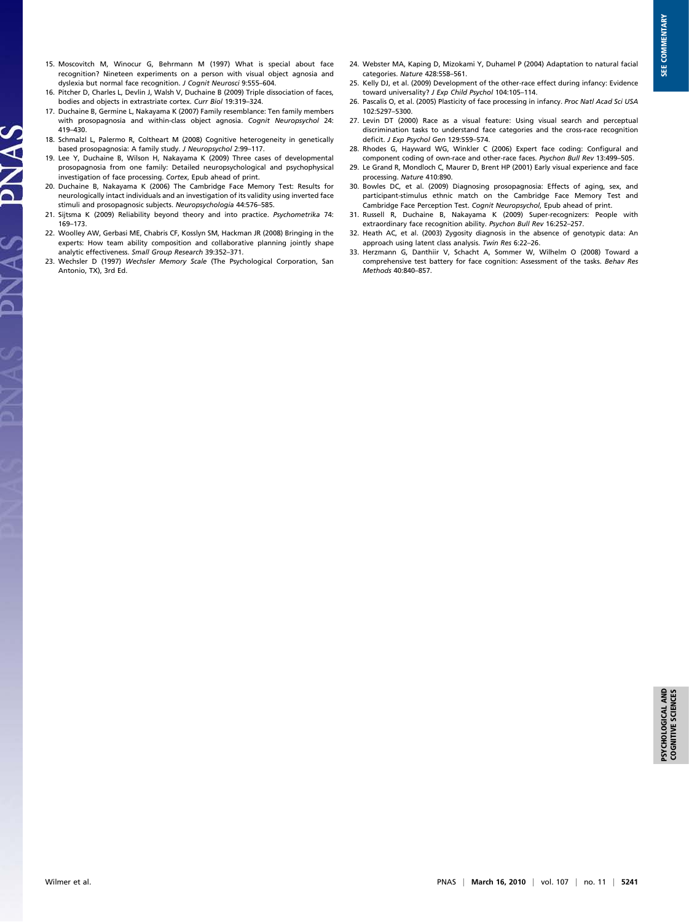- 15. Moscovitch M, Winocur G, Behrmann M (1997) What is special about face recognition? Nineteen experiments on a person with visual object agnosia and dyslexia but normal face recognition. J Cognit Neurosci 9:555–604.
- 16. Pitcher D, Charles L, Devlin J, Walsh V, Duchaine B (2009) Triple dissociation of faces, bodies and objects in extrastriate cortex. Curr Biol 19:319–324.
- 17. Duchaine B, Germine L, Nakayama K (2007) Family resemblance: Ten family members with prosopagnosia and within-class object agnosia. Cognit Neuropsychol 24: 419–430.
- 18. Schmalzl L, Palermo R, Coltheart M (2008) Cognitive heterogeneity in genetically based prosopagnosia: A family study. J Neuropsychol 2:99–117.
- 19. Lee Y, Duchaine B, Wilson H, Nakayama K (2009) Three cases of developmental prosopagnosia from one family: Detailed neuropsychological and psychophysical investigation of face processing. Cortex, Epub ahead of print.

**SVNAC** 

 $\frac{1}{2}$ 

- 20. Duchaine B, Nakayama K (2006) The Cambridge Face Memory Test: Results for neurologically intact individuals and an investigation of its validity using inverted face stimuli and prosopagnosic subjects. Neuropsychologia 44:576–585.
- 21. Sijtsma K (2009) Reliability beyond theory and into practice. Psychometrika 74: 169–173.
- 22. Woolley AW, Gerbasi ME, Chabris CF, Kosslyn SM, Hackman JR (2008) Bringing in the experts: How team ability composition and collaborative planning jointly shape analytic effectiveness. Small Group Research 39:352–371.
- 23. Wechsler D (1997) Wechsler Memory Scale (The Psychological Corporation, San Antonio, TX), 3rd Ed.
- 24. Webster MA, Kaping D, Mizokami Y, Duhamel P (2004) Adaptation to natural facial categories. Nature 428:558–561.
- 25. Kelly DJ, et al. (2009) Development of the other-race effect during infancy: Evidence toward universality? J Exp Child Psychol 104:105-114.
- 26. Pascalis O, et al. (2005) Plasticity of face processing in infancy. Proc Natl Acad Sci USA 102:5297–5300.
- 27. Levin DT (2000) Race as a visual feature: Using visual search and perceptual discrimination tasks to understand face categories and the cross-race recognition deficit. J Exp Psychol Gen 129:559-574.
- 28. Rhodes G, Hayward WG, Winkler C (2006) Expert face coding: Configural and component coding of own-race and other-race faces. Psychon Bull Rev 13:499–505.
- 29. Le Grand R, Mondloch C, Maurer D, Brent HP (2001) Early visual experience and face processing. Nature 410:890.
- 30. Bowles DC, et al. (2009) Diagnosing prosopagnosia: Effects of aging, sex, and participant-stimulus ethnic match on the Cambridge Face Memory Test and Cambridge Face Perception Test. Cognit Neuropsychol, Epub ahead of print.
- 31. Russell R, Duchaine B, Nakayama K (2009) Super-recognizers: People with extraordinary face recognition ability. Psychon Bull Rev 16:252–257.
- 32. Heath AC, et al. (2003) Zygosity diagnosis in the absence of genotypic data: An approach using latent class analysis. Twin Res 6:22–26.
- 33. Herzmann G, Danthiir V, Schacht A, Sommer W, Wilhelm O (2008) Toward a comprehensive test battery for face cognition: Assessment of the tasks. Behav Res Methods 40:840–857.